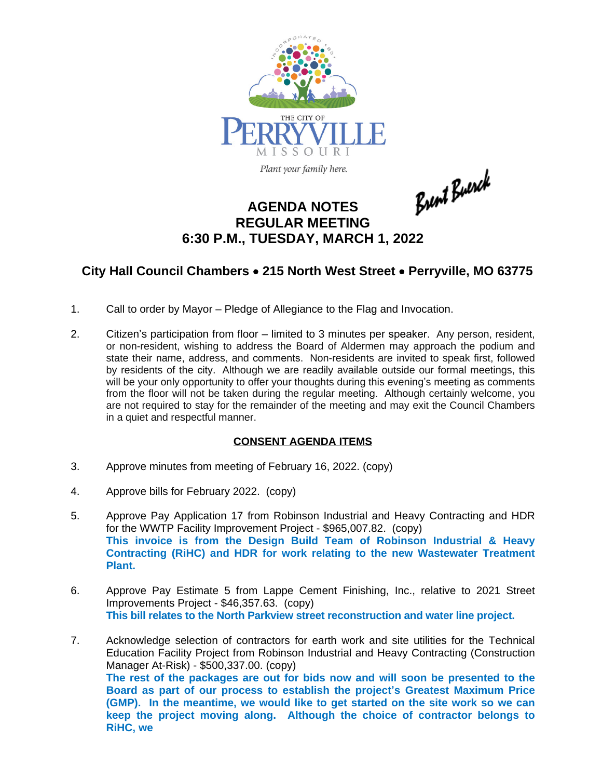

Plant your family here.

Brent Buerck

## **AGENDA NOTES REGULAR MEETING 6:30 P.M., TUESDAY, MARCH 1, 2022**

## **City Hall Council Chambers** · **215 North West Street** · **Perryville, MO 63775**

- 1. Call to order by Mayor Pledge of Allegiance to the Flag and Invocation.
- 2. Citizen's participation from floor limited to 3 minutes per speaker. Any person, resident, or non-resident, wishing to address the Board of Aldermen may approach the podium and state their name, address, and comments. Non-residents are invited to speak first, followed by residents of the city. Although we are readily available outside our formal meetings, this will be your only opportunity to offer your thoughts during this evening's meeting as comments from the floor will not be taken during the regular meeting. Although certainly welcome, you are not required to stay for the remainder of the meeting and may exit the Council Chambers in a quiet and respectful manner.

## **CONSENT AGENDA ITEMS**

- 3. Approve minutes from meeting of February 16, 2022. (copy)
- 4. Approve bills for February 2022. (copy)
- 5. Approve Pay Application 17 from Robinson Industrial and Heavy Contracting and HDR for the WWTP Facility Improvement Project - \$965,007.82. (copy) **This invoice is from the Design Build Team of Robinson Industrial & Heavy Contracting (RiHC) and HDR for work relating to the new Wastewater Treatment Plant.**
- 6. Approve Pay Estimate 5 from Lappe Cement Finishing, Inc., relative to 2021 Street Improvements Project - \$46,357.63. (copy) **This bill relates to the North Parkview street reconstruction and water line project.**
- 7. Acknowledge selection of contractors for earth work and site utilities for the Technical Education Facility Project from Robinson Industrial and Heavy Contracting (Construction Manager At-Risk) - \$500,337.00. (copy) **The rest of the packages are out for bids now and will soon be presented to the Board as part of our process to establish the project's Greatest Maximum Price (GMP). In the meantime, we would like to get started on the site work so we can keep the project moving along. Although the choice of contractor belongs to RiHC, we**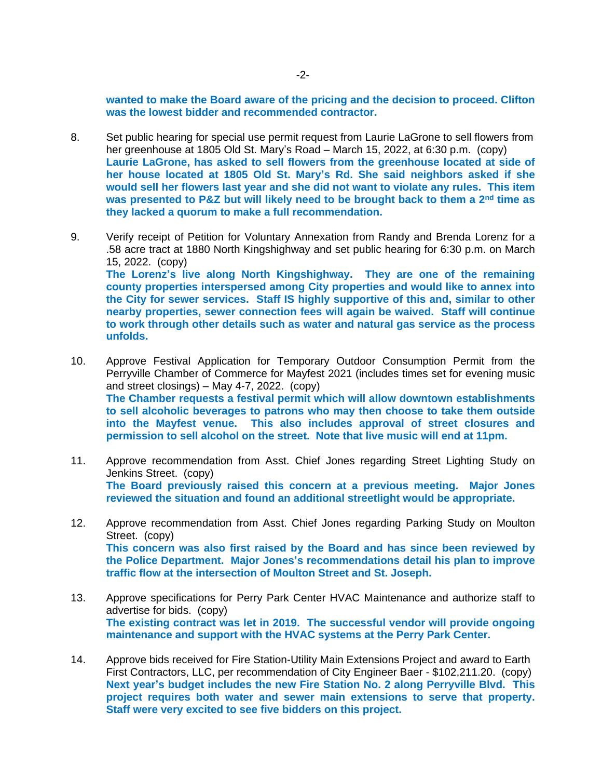**wanted to make the Board aware of the pricing and the decision to proceed. Clifton was the lowest bidder and recommended contractor.** 

- 8. Set public hearing for special use permit request from Laurie LaGrone to sell flowers from her greenhouse at 1805 Old St. Mary's Road – March 15, 2022, at 6:30 p.m. (copy) **Laurie LaGrone, has asked to sell flowers from the greenhouse located at side of her house located at 1805 Old St. Mary's Rd. She said neighbors asked if she would sell her flowers last year and she did not want to violate any rules. This item was presented to P&Z but will likely need to be brought back to them a 2 nd time as they lacked a quorum to make a full recommendation.**
- 9. Verify receipt of Petition for Voluntary Annexation from Randy and Brenda Lorenz for a .58 acre tract at 1880 North Kingshighway and set public hearing for 6:30 p.m. on March 15, 2022. (copy) **The Lorenz's live along North Kingshighway. They are one of the remaining county properties interspersed among City properties and would like to annex into the City for sewer services. Staff IS highly supportive of this and, similar to other nearby properties, sewer connection fees will again be waived. Staff will continue to work through other details such as water and natural gas service as the process unfolds.**
- 10. Approve Festival Application for Temporary Outdoor Consumption Permit from the Perryville Chamber of Commerce for Mayfest 2021 (includes times set for evening music and street closings) – May 4-7, 2022. (copy) **The Chamber requests a festival permit which will allow downtown establishments to sell alcoholic beverages to patrons who may then choose to take them outside into the Mayfest venue. This also includes approval of street closures and permission to sell alcohol on the street. Note that live music will end at 11pm.**
- 11. Approve recommendation from Asst. Chief Jones regarding Street Lighting Study on Jenkins Street. (copy) **The Board previously raised this concern at a previous meeting. Major Jones reviewed the situation and found an additional streetlight would be appropriate.**
- 12. Approve recommendation from Asst. Chief Jones regarding Parking Study on Moulton Street. (copy) **This concern was also first raised by the Board and has since been reviewed by the Police Department. Major Jones's recommendations detail his plan to improve traffic flow at the intersection of Moulton Street and St. Joseph.**
- 13. Approve specifications for Perry Park Center HVAC Maintenance and authorize staff to advertise for bids. (copy) **The existing contract was let in 2019. The successful vendor will provide ongoing maintenance and support with the HVAC systems at the Perry Park Center.**
- 14. Approve bids received for Fire Station-Utility Main Extensions Project and award to Earth First Contractors, LLC, per recommendation of City Engineer Baer - \$102,211.20. (copy) **Next year's budget includes the new Fire Station No. 2 along Perryville Blvd. This project requires both water and sewer main extensions to serve that property. Staff were very excited to see five bidders on this project.**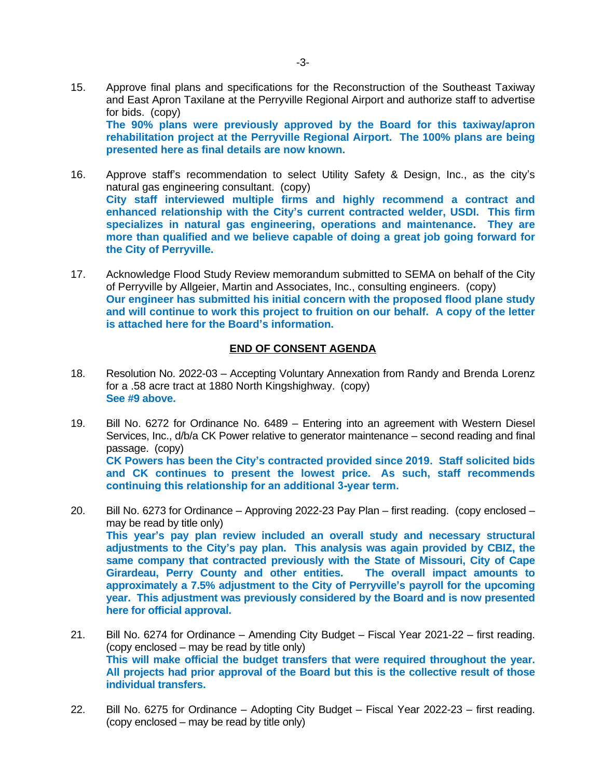- 15. Approve final plans and specifications for the Reconstruction of the Southeast Taxiway and East Apron Taxilane at the Perryville Regional Airport and authorize staff to advertise for bids. (copy) **The 90% plans were previously approved by the Board for this taxiway/apron rehabilitation project at the Perryville Regional Airport. The 100% plans are being presented here as final details are now known.**
- 16. Approve staff's recommendation to select Utility Safety & Design, Inc., as the city's natural gas engineering consultant. (copy) **City staff interviewed multiple firms and highly recommend a contract and enhanced relationship with the City's current contracted welder, USDI. This firm specializes in natural gas engineering, operations and maintenance. They are more than qualified and we believe capable of doing a great job going forward for the City of Perryville.**
- 17. Acknowledge Flood Study Review memorandum submitted to SEMA on behalf of the City of Perryville by Allgeier, Martin and Associates, Inc., consulting engineers. (copy) **Our engineer has submitted his initial concern with the proposed flood plane study and will continue to work this project to fruition on our behalf. A copy of the letter is attached here for the Board's information.**

## **END OF CONSENT AGENDA**

- 18. Resolution No. 2022-03 Accepting Voluntary Annexation from Randy and Brenda Lorenz for a .58 acre tract at 1880 North Kingshighway. (copy) **See #9 above.**
- 19. Bill No. 6272 for Ordinance No. 6489 Entering into an agreement with Western Diesel Services, Inc., d/b/a CK Power relative to generator maintenance – second reading and final passage. (copy) **CK Powers has been the City's contracted provided since 2019. Staff solicited bids and CK continues to present the lowest price. As such, staff recommends continuing this relationship for an additional 3-year term.**
- 20. Bill No. 6273 for Ordinance Approving 2022-23 Pay Plan first reading. (copy enclosed may be read by title only) **This year's pay plan review included an overall study and necessary structural adjustments to the City's pay plan. This analysis was again provided by CBIZ, the same company that contracted previously with the State of Missouri, City of Cape Girardeau, Perry County and other entities. The overall impact amounts to approximately a 7.5% adjustment to the City of Perryville's payroll for the upcoming year. This adjustment was previously considered by the Board and is now presented here for official approval.**
- 21. Bill No. 6274 for Ordinance Amending City Budget Fiscal Year 2021-22 first reading. (copy enclosed – may be read by title only) **This will make official the budget transfers that were required throughout the year. All projects had prior approval of the Board but this is the collective result of those individual transfers.**
- 22. Bill No. 6275 for Ordinance Adopting City Budget Fiscal Year 2022-23 first reading. (copy enclosed – may be read by title only)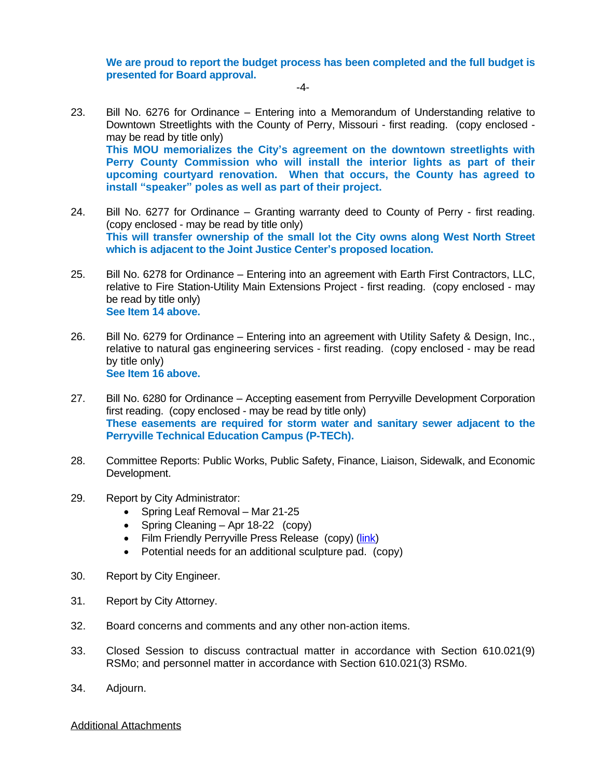**We are proud to report the budget process has been completed and the full budget is presented for Board approval.**

-4-

- 23. Bill No. 6276 for Ordinance Entering into a Memorandum of Understanding relative to Downtown Streetlights with the County of Perry, Missouri - first reading. (copy enclosed may be read by title only) **This MOU memorializes the City's agreement on the downtown streetlights with Perry County Commission who will install the interior lights as part of their upcoming courtyard renovation. When that occurs, the County has agreed to install "speaker" poles as well as part of their project.**
- 24. Bill No. 6277 for Ordinance Granting warranty deed to County of Perry first reading. (copy enclosed - may be read by title only) **This will transfer ownership of the small lot the City owns along West North Street which is adjacent to the Joint Justice Center's proposed location.**
- 25. Bill No. 6278 for Ordinance Entering into an agreement with Earth First Contractors, LLC, relative to Fire Station-Utility Main Extensions Project - first reading. (copy enclosed - may be read by title only) **See Item 14 above.**
- 26. Bill No. 6279 for Ordinance Entering into an agreement with Utility Safety & Design, Inc., relative to natural gas engineering services - first reading. (copy enclosed - may be read by title only) **See Item 16 above.**
- 27. Bill No. 6280 for Ordinance Accepting easement from Perryville Development Corporation first reading. (copy enclosed - may be read by title only) **These easements are required for storm water and sanitary sewer adjacent to the Perryville Technical Education Campus (P-TECh).**
- 28. Committee Reports: Public Works, Public Safety, Finance, Liaison, Sidewalk, and Economic Development.
- 29. Report by City Administrator:
	- Spring Leaf Removal Mar 21-25
	- Spring Cleaning Apr 18-22 (copy)
	- Film Friendly Perryville Press Release (copy) [\(link\)](https://www.573magazine.com/post/welcome-to-nowherewood-hollywood-in-the-573)
	- Potential needs for an additional sculpture pad. (copy)
- 30. Report by City Engineer.
- 31. Report by City Attorney.
- 32. Board concerns and comments and any other non-action items.
- 33. Closed Session to discuss contractual matter in accordance with Section 610.021(9) RSMo; and personnel matter in accordance with Section 610.021(3) RSMo.
- 34. Adjourn.

Additional Attachments